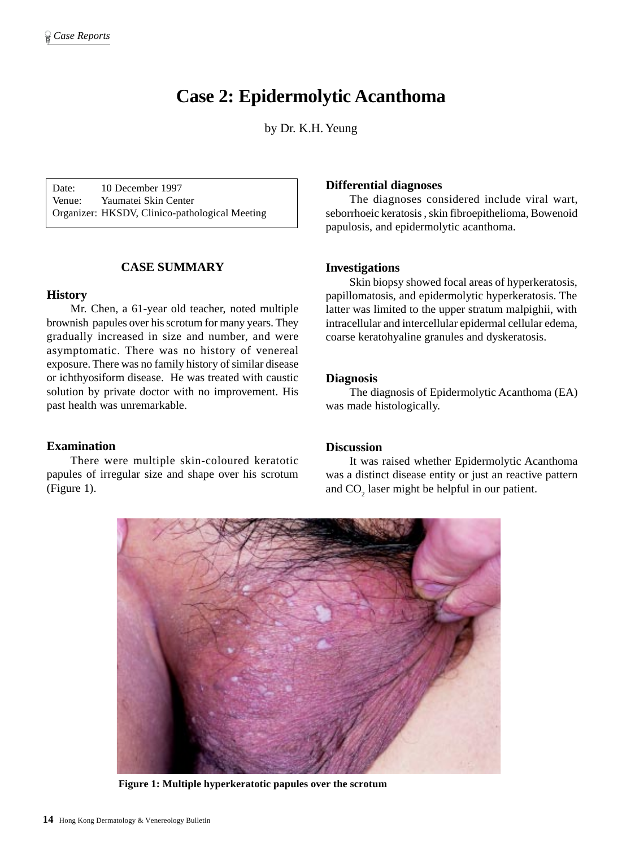# **Case 2: Epidermolytic Acanthoma**

by Dr. K.H. Yeung

Date: 10 December 1997 Venue: Yaumatei Skin Center Organizer: HKSDV, Clinico-pathological Meeting

## **CASE SUMMARY**

#### **History**

Mr. Chen, a 61-year old teacher, noted multiple brownish papules over his scrotum for many years. They gradually increased in size and number, and were asymptomatic. There was no history of venereal exposure. There was no family history of similar disease or ichthyosiform disease. He was treated with caustic solution by private doctor with no improvement. His past health was unremarkable.

#### **Examination**

There were multiple skin-coloured keratotic papules of irregular size and shape over his scrotum (Figure 1).

## **Differential diagnoses**

The diagnoses considered include viral wart, seborrhoeic keratosis , skin fibroepithelioma, Bowenoid papulosis, and epidermolytic acanthoma.

#### **Investigations**

Skin biopsy showed focal areas of hyperkeratosis, papillomatosis, and epidermolytic hyperkeratosis. The latter was limited to the upper stratum malpighii, with intracellular and intercellular epidermal cellular edema, coarse keratohyaline granules and dyskeratosis.

#### **Diagnosis**

The diagnosis of Epidermolytic Acanthoma (EA) was made histologically.

## **Discussion**

It was raised whether Epidermolytic Acanthoma was a distinct disease entity or just an reactive pattern and  $CO_2$  laser might be helpful in our patient.



**Figure 1: Multiple hyperkeratotic papules over the scrotum**